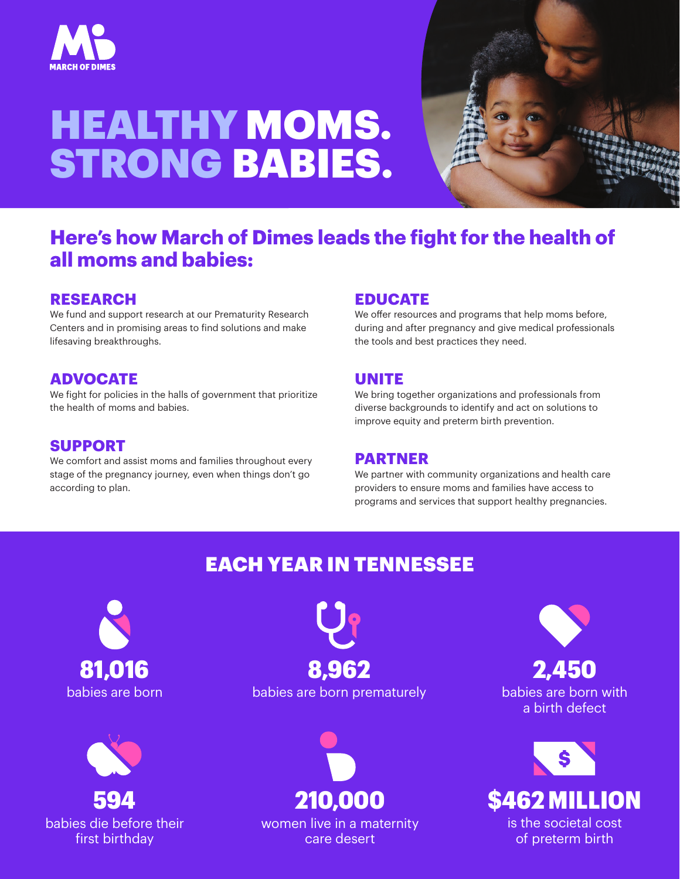

# HEALTHY MOMS. STRONG BABIES.



## **Here's how March of Dimes leads the fight for the health of all moms and babies:**

#### **RESEARCH**

We fund and support research at our Prematurity Research Centers and in promising areas to find solutions and make lifesaving breakthroughs.

#### **ADVOCATE**

We fight for policies in the halls of government that prioritize the health of moms and babies.

#### **SUPPORT**

We comfort and assist moms and families throughout every stage of the pregnancy journey, even when things don't go according to plan.

#### **EDUCATE**

We offer resources and programs that help moms before, during and after pregnancy and give medical professionals the tools and best practices they need.

#### **UNITE**

We bring together organizations and professionals from diverse backgrounds to identify and act on solutions to improve equity and preterm birth prevention.

#### **PARTNER**

We partner with community organizations and health care providers to ensure moms and families have access to programs and services that support healthy pregnancies.

## EACH YEAR IN TENNESSEE





babies are born babies are born prematurely 81,016 8,962



women live in a maternity care desert

babies are born with a birth defect 2,450